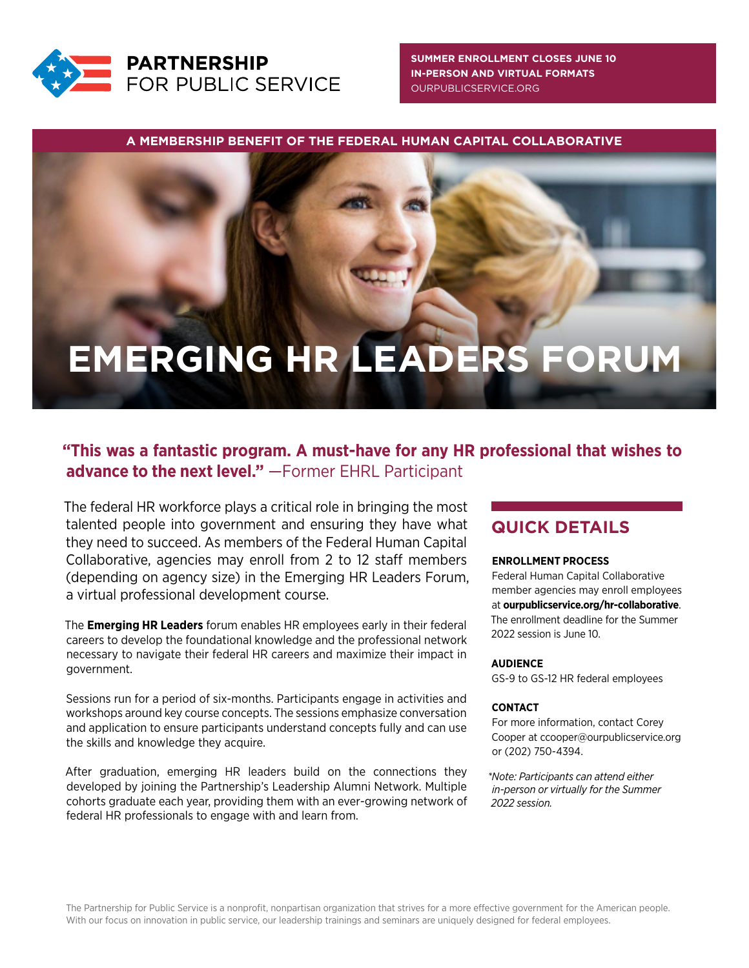

**[SUMMER ENROLLMENT CLOSES JUNE 10](https://ourpublicservice.org/flp) IN-PERSON AND VIRTUAL FORMATS** OURPUBLICSERVICE.ORG

**A MEMBERSHIP BENEFIT OF THE FEDERAL HUMAN CAPITAL COLLABORATIVE**

# **EMERGING HR LEADERS FORUM**

# **"This was a fantastic program. A must-have for any HR professional that wishes to advance to the next level."** —Former EHRL Participant

The federal HR workforce plays a critical role in bringing the most talented people into government and ensuring they have what they need to succeed. As members of the Federal Human Capital Collaborative, agencies may enroll from 2 to 12 staff members (depending on agency size) in the Emerging HR Leaders Forum, a virtual professional development course.

The **Emerging HR Leaders** forum enables HR employees early in their federal careers to develop the foundational knowledge and the professional network necessary to navigate their federal HR careers and maximize their impact in government.

Sessions run for a period of six-months. Participants engage in activities and workshops around key course concepts. The sessions emphasize conversation and application to ensure participants understand concepts fully and can use the skills and knowledge they acquire.

After graduation, emerging HR leaders build on the connections they developed by joining the Partnership's Leadership Alumni Network. Multiple cohorts graduate each year, providing them with an ever-growing network of federal HR professionals to engage with and learn from.

# **QUICK DETAILS**

#### **ENROLLMENT PROCESS**

Federal Human Capital Collaborative member agencies may enroll employees at **ourpublicservice.org/hr-collaborative**. The enrollment deadline for the Summer 2022 session is June 10.

### **AUDIENCE**

GS-9 to GS-12 HR federal employees

#### **CONTACT**

For more information, contact Corey Cooper at ccooper@ourpublicservice.org or (202) 750-4394.

*\*Note: Participants can attend either in-person or virtually for the Summer 2022 session.*